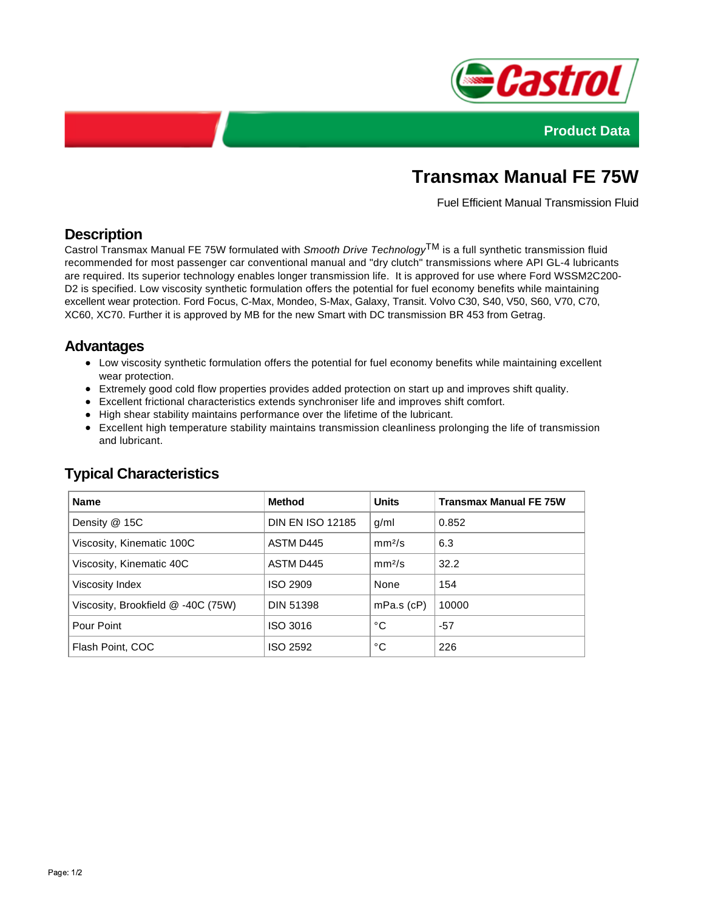



# **Transmax Manual FE 75W**

Fuel Efficient Manual Transmission Fluid

## **Description**

Castrol Transmax Manual FE 75W formulated with Smooth Drive Technology<sup>TM</sup> is a full synthetic transmission fluid recommended for most passenger car conventional manual and "dry clutch" transmissions where API GL-4 lubricants are required. Its superior technology enables longer transmission life. It is approved for use where Ford WSSM2C200- D2 is specified. Low viscosity synthetic formulation offers the potential for fuel economy benefits while maintaining excellent wear protection. Ford Focus, C-Max, Mondeo, S-Max, Galaxy, Transit. Volvo C30, S40, V50, S60, V70, C70, XC60, XC70. Further it is approved by MB for the new Smart with DC transmission BR 453 from Getrag.

### **Advantages**

- Low viscosity synthetic formulation offers the potential for fuel economy benefits while maintaining excellent wear protection.
- Extremely good cold flow properties provides added protection on start up and improves shift quality.
- Excellent frictional characteristics extends synchroniser life and improves shift comfort.
- High shear stability maintains performance over the lifetime of the lubricant.
- Excellent high temperature stability maintains transmission cleanliness prolonging the life of transmission and lubricant.

| <b>Name</b>                        | <b>Method</b>           | <b>Units</b>       | <b>Transmax Manual FE 75W</b> |
|------------------------------------|-------------------------|--------------------|-------------------------------|
| Density @ 15C                      | <b>DIN EN ISO 12185</b> | q/ml               | 0.852                         |
| Viscosity, Kinematic 100C          | ASTM D445               | mm <sup>2</sup> /s | 6.3                           |
| Viscosity, Kinematic 40C           | ASTM D445               | mm <sup>2</sup> /s | 32.2                          |
| Viscosity Index                    | <b>ISO 2909</b>         | None               | 154                           |
| Viscosity, Brookfield @ -40C (75W) | <b>DIN 51398</b>        | $mPa.s$ (cP)       | 10000                         |
| Pour Point                         | ISO 3016                | °C                 | $-57$                         |
| Flash Point, COC                   | ISO 2592                | °C                 | 226                           |

## **Typical Characteristics**